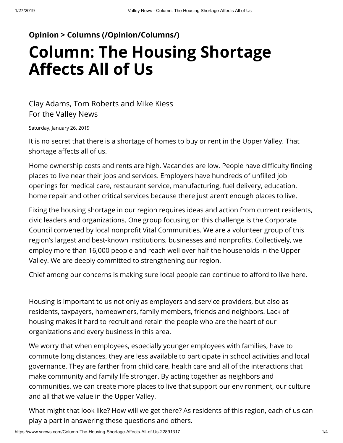## **[Opinion > Columns \(/Opinion/Columns/\)](https://www.vnews.com/Opinion/Columns/) Column: The Housing Shortage Affects All of Us**

## Clay Adams, Tom Roberts and Mike Kiess For the Valley News

Saturday, January 26, 2019

It is no secret that there is a shortage of homes to buy or rent in the Upper Valley. That shortage affects all of us.

Home ownership costs and rents are high. Vacancies are low. People have difficulty finding places to live near their jobs and services. Employers have hundreds of unfilled job openings for medical care, restaurant service, manufacturing, fuel delivery, education, home repair and other critical services because there just aren't enough places to live.

Fixing the housing shortage in our region requires ideas and action from current residents, civic leaders and organizations. One group focusing on this challenge is the Corporate Council convened by local nonprofit Vital Communities. We are a volunteer group of this region's largest and best-known institutions, businesses and nonprofits. Collectively, we employ more than 16,000 people and reach well over half the households in the Upper Valley. We are deeply committed to strengthening our region.

Chief among our concerns is making sure local people can continue to afford to live here.

Housing is important to us not only as employers and service providers, but also as residents, taxpayers, homeowners, family members, friends and neighbors. Lack of housing makes it hard to recruit and retain the people who are the heart of our organizations and every business in this area.

We worry that when employees, especially younger employees with families, have to commute long distances, they are less available to participate in school activities and local governance. They are farther from child care, health care and all of the interactions that make community and family life stronger. By acting together as neighbors and communities, we can create more places to live that support our environment, our culture and all that we value in the Upper Valley.

What might that look like? How will we get there? As residents of this region, each of us can play a part in answering these questions and others.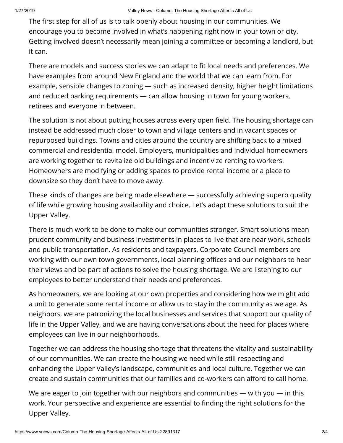The first step for all of us is to talk openly about housing in our communities. We encourage you to become involved in what's happening right now in your town or city. [Getting involved doesn't necessarily mean joining a committee or becoming a landlord, but](javascript:void(0);) it can.

There are models and success stories we can adapt to fit local needs and preferences. We have examples from around New England and the world that we can learn from. For example, sensible changes to zoning — such as increased density, higher height limitations and reduced parking requirements — can allow housing in town for young workers, retirees and everyone in between.

The solution is not about putting houses across every open field. The housing shortage can instead be addressed much closer to town and village centers and in vacant spaces or repurposed buildings. Towns and cities around the country are shifting back to a mixed commercial and residential model. Employers, municipalities and individual homeowners are working together to revitalize old buildings and incentivize renting to workers. Homeowners are modifying or adding spaces to provide rental income or a place to downsize so they don't have to move away.

These kinds of changes are being made elsewhere — successfully achieving superb quality of life while growing housing availability and choice. Let's adapt these solutions to suit the Upper Valley.

There is much work to be done to make our communities stronger. Smart solutions mean prudent community and business investments in places to live that are near work, schools and public transportation. As residents and taxpayers, Corporate Council members are working with our own town governments, local planning offices and our neighbors to hear their views and be part of actions to solve the housing shortage. We are listening to our employees to better understand their needs and preferences.

As homeowners, we are looking at our own properties and considering how we might add a unit to generate some rental income or allow us to stay in the community as we age. As neighbors, we are patronizing the local businesses and services that support our quality of life in the Upper Valley, and we are having conversations about the need for places where employees can live in our neighborhoods.

Together we can address the housing shortage that threatens the vitality and sustainability of our communities. We can create the housing we need while still respecting and enhancing the Upper Valley's landscape, communities and local culture. Together we can create and sustain communities that our families and co-workers can afford to call home.

We are eager to join together with our neighbors and communities — with you — in this work. Your perspective and experience are essential to finding the right solutions for the Upper Valley.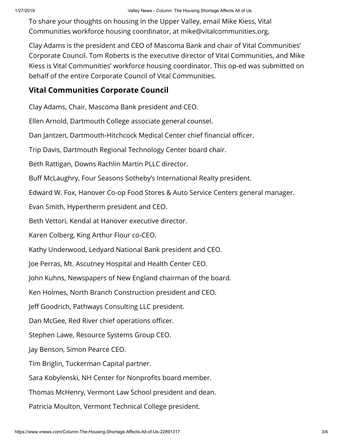To share your thoughts on housing in the Upper Valley, email Mike Kiess, Vital Communities workforce housing coordinator, at mike@vitalcommunities.org.

[Clay Adams is the president and CEO of Mascoma Bank and chair of Vital Communities'](javascript:void(0);) Corporate Council. Tom Roberts is the executive director of Vital Communities, and Mike Kiess is Vital Communities' workforce housing coordinator. This op-ed was submitted on behalf of the entire Corporate Council of Vital Communities.

## **Vital Communities Corporate Council**

Clay Adams, Chair, Mascoma Bank president and CEO.

Ellen Arnold, Dartmouth College associate general counsel.

Dan Jantzen, Dartmouth-Hitchcock Medical Center chief financial officer.

Trip Davis, Dartmouth Regional Technology Center board chair.

Beth Rattigan, Downs Rachlin Martin PLLC director.

Buff McLaughry, Four Seasons Sotheby's International Realty president.

Edward W. Fox, Hanover Co-op Food Stores & Auto Service Centers general manager.

Evan Smith, Hypertherm president and CEO.

Beth Vettori, Kendal at Hanover executive director.

Karen Colberg, King Arthur Flour co-CEO.

Kathy Underwood, Ledyard National Bank president and CEO.

Joe Perras, Mt. Ascutney Hospital and Health Center CEO.

John Kuhns, Newspapers of New England chairman of the board.

Ken Holmes, North Branch Construction president and CEO.

Jeff Goodrich, Pathways Consulting LLC president.

Dan McGee, Red River chief operations officer.

Stephen Lawe, Resource Systems Group CEO.

Jay Benson, Simon Pearce CEO.

Tim Briglin, Tuckerman Capital partner.

Sara Kobylenski, NH Center for Nonprofits board member.

Thomas McHenry, Vermont Law School president and dean.

Patricia Moulton, Vermont Technical College president.